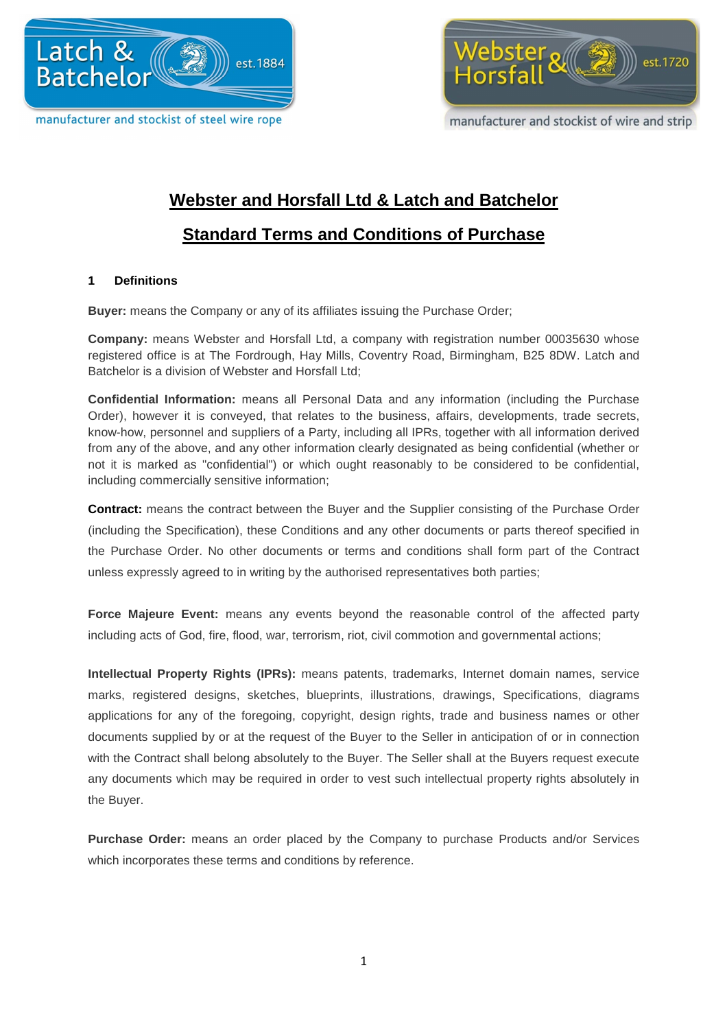



manufacturer and stockist of wire and strip

# **Webster and Horsfall Ltd & Latch and Batchelor**

# **Standard Terms and Conditions of Purchase**

# **1 Definitions**

**Buyer:** means the Company or any of its affiliates issuing the Purchase Order;

**Company:** means Webster and Horsfall Ltd, a company with registration number 00035630 whose registered office is at The Fordrough, Hay Mills, Coventry Road, Birmingham, B25 8DW. Latch and Batchelor is a division of Webster and Horsfall Ltd;

**Confidential Information:** means all Personal Data and any information (including the Purchase Order), however it is conveyed, that relates to the business, affairs, developments, trade secrets, know-how, personnel and suppliers of a Party, including all IPRs, together with all information derived from any of the above, and any other information clearly designated as being confidential (whether or not it is marked as "confidential") or which ought reasonably to be considered to be confidential, including commercially sensitive information;

**Contract:** means the contract between the Buyer and the Supplier consisting of the Purchase Order (including the Specification), these Conditions and any other documents or parts thereof specified in the Purchase Order. No other documents or terms and conditions shall form part of the Contract unless expressly agreed to in writing by the authorised representatives both parties;

**Force Majeure Event:** means any events beyond the reasonable control of the affected party including acts of God, fire, flood, war, terrorism, riot, civil commotion and governmental actions;

**Intellectual Property Rights (IPRs):** means patents, trademarks, Internet domain names, service marks, registered designs, sketches, blueprints, illustrations, drawings, Specifications, diagrams applications for any of the foregoing, copyright, design rights, trade and business names or other documents supplied by or at the request of the Buyer to the Seller in anticipation of or in connection with the Contract shall belong absolutely to the Buyer. The Seller shall at the Buyers request execute any documents which may be required in order to vest such intellectual property rights absolutely in the Buyer.

**Purchase Order:** means an order placed by the Company to purchase Products and/or Services which incorporates these terms and conditions by reference.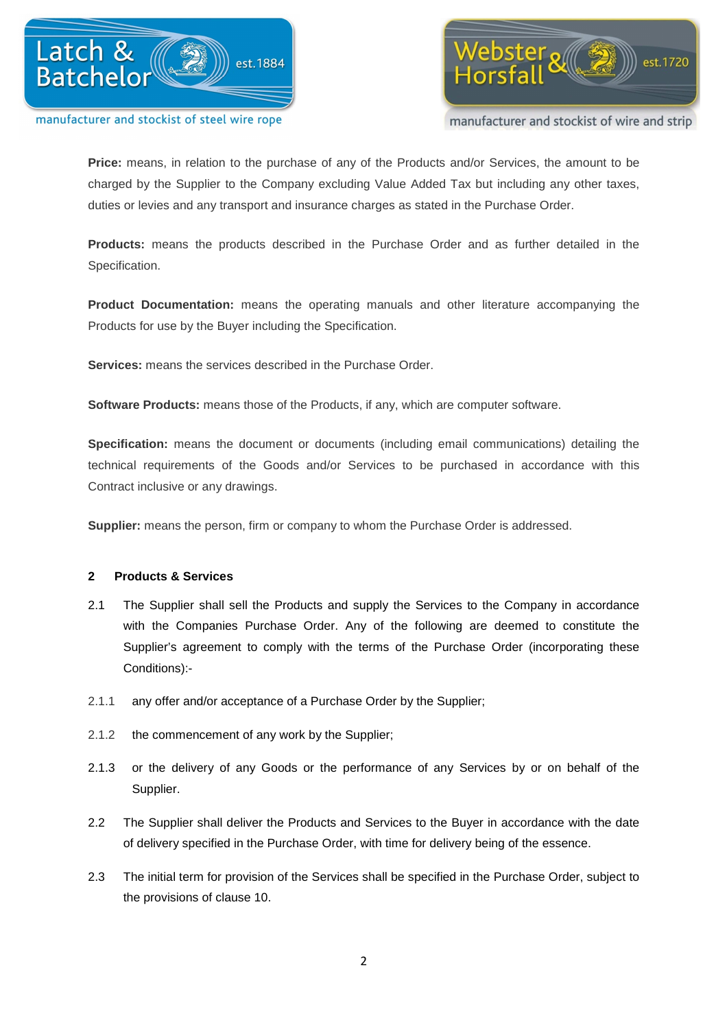



manufacturer and stockist of wire and strip

**Price:** means, in relation to the purchase of any of the Products and/or Services, the amount to be charged by the Supplier to the Company excluding Value Added Tax but including any other taxes, duties or levies and any transport and insurance charges as stated in the Purchase Order.

**Products:** means the products described in the Purchase Order and as further detailed in the Specification.

**Product Documentation:** means the operating manuals and other literature accompanying the Products for use by the Buyer including the Specification.

**Services:** means the services described in the Purchase Order.

**Software Products:** means those of the Products, if any, which are computer software.

**Specification:** means the document or documents (including email communications) detailing the technical requirements of the Goods and/or Services to be purchased in accordance with this Contract inclusive or any drawings.

**Supplier:** means the person, firm or company to whom the Purchase Order is addressed.

#### **2 Products & Services**

- 2.1 The Supplier shall sell the Products and supply the Services to the Company in accordance with the Companies Purchase Order. Any of the following are deemed to constitute the Supplier's agreement to comply with the terms of the Purchase Order (incorporating these Conditions):-
- 2.1.1 any offer and/or acceptance of a Purchase Order by the Supplier;
- 2.1.2 the commencement of any work by the Supplier;
- 2.1.3 or the delivery of any Goods or the performance of any Services by or on behalf of the Supplier.
- 2.2 The Supplier shall deliver the Products and Services to the Buyer in accordance with the date of delivery specified in the Purchase Order, with time for delivery being of the essence.
- 2.3 The initial term for provision of the Services shall be specified in the Purchase Order, subject to the provisions of clause 10.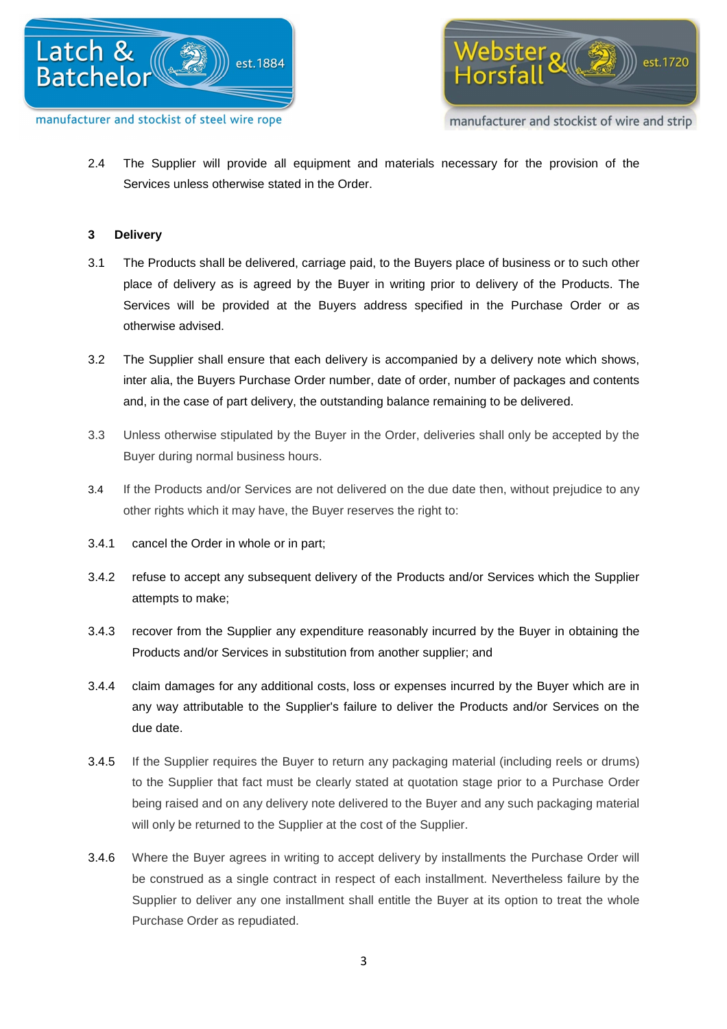



2.4 The Supplier will provide all equipment and materials necessary for the provision of the Services unless otherwise stated in the Order.

## **3 Delivery**

- 3.1 The Products shall be delivered, carriage paid, to the Buyers place of business or to such other place of delivery as is agreed by the Buyer in writing prior to delivery of the Products. The Services will be provided at the Buyers address specified in the Purchase Order or as otherwise advised.
- 3.2 The Supplier shall ensure that each delivery is accompanied by a delivery note which shows, inter alia, the Buyers Purchase Order number, date of order, number of packages and contents and, in the case of part delivery, the outstanding balance remaining to be delivered.
- 3.3 Unless otherwise stipulated by the Buyer in the Order, deliveries shall only be accepted by the Buyer during normal business hours.
- 3.4 If the Products and/or Services are not delivered on the due date then, without prejudice to any other rights which it may have, the Buyer reserves the right to:
- 3.4.1 cancel the Order in whole or in part;
- 3.4.2 refuse to accept any subsequent delivery of the Products and/or Services which the Supplier attempts to make;
- 3.4.3 recover from the Supplier any expenditure reasonably incurred by the Buyer in obtaining the Products and/or Services in substitution from another supplier; and
- 3.4.4 claim damages for any additional costs, loss or expenses incurred by the Buyer which are in any way attributable to the Supplier's failure to deliver the Products and/or Services on the due date.
- 3.4.5 If the Supplier requires the Buyer to return any packaging material (including reels or drums) to the Supplier that fact must be clearly stated at quotation stage prior to a Purchase Order being raised and on any delivery note delivered to the Buyer and any such packaging material will only be returned to the Supplier at the cost of the Supplier.
- 3.4.6 Where the Buyer agrees in writing to accept delivery by installments the Purchase Order will be construed as a single contract in respect of each installment. Nevertheless failure by the Supplier to deliver any one installment shall entitle the Buyer at its option to treat the whole Purchase Order as repudiated.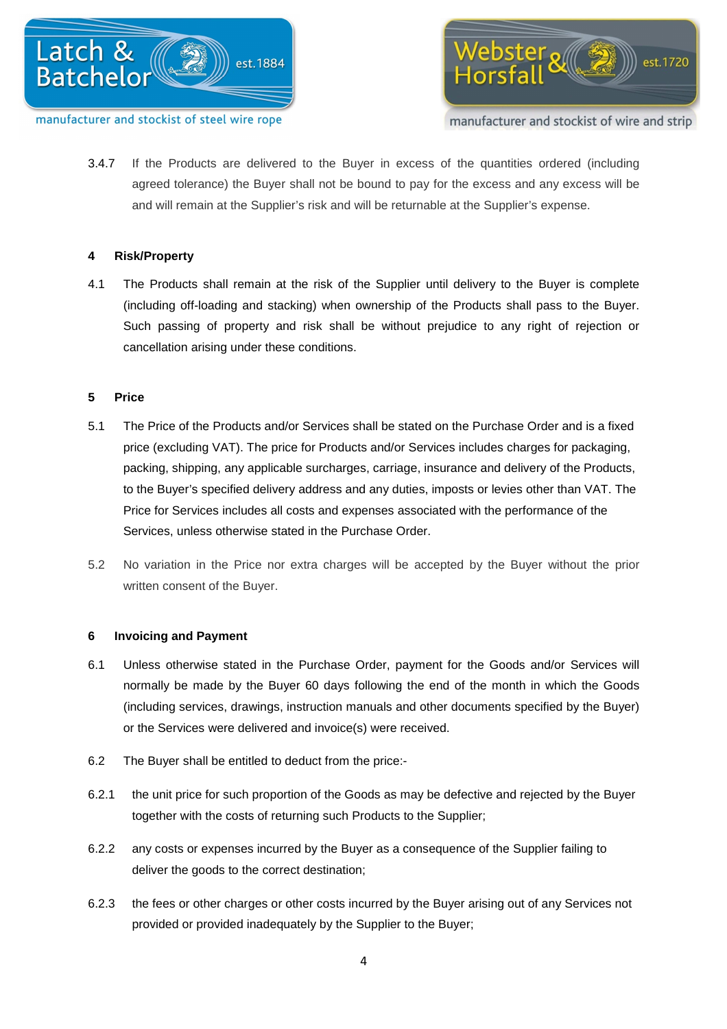

 ${\rm e}$ bster $\sqrt{\mathbb{Z}}$ est.1720

manufacturer and stockist of wire and strip

3.4.7 If the Products are delivered to the Buyer in excess of the quantities ordered (including agreed tolerance) the Buyer shall not be bound to pay for the excess and any excess will be and will remain at the Supplier's risk and will be returnable at the Supplier's expense.

# **4 Risk/Property**

4.1 The Products shall remain at the risk of the Supplier until delivery to the Buyer is complete (including off-loading and stacking) when ownership of the Products shall pass to the Buyer. Such passing of property and risk shall be without prejudice to any right of rejection or cancellation arising under these conditions.

# **5 Price**

- 5.1 The Price of the Products and/or Services shall be stated on the Purchase Order and is a fixed price (excluding VAT). The price for Products and/or Services includes charges for packaging, packing, shipping, any applicable surcharges, carriage, insurance and delivery of the Products, to the Buyer's specified delivery address and any duties, imposts or levies other than VAT. The Price for Services includes all costs and expenses associated with the performance of the Services, unless otherwise stated in the Purchase Order.
- 5.2 No variation in the Price nor extra charges will be accepted by the Buyer without the prior written consent of the Buyer.

# **6 Invoicing and Payment**

- 6.1 Unless otherwise stated in the Purchase Order, payment for the Goods and/or Services will normally be made by the Buyer 60 days following the end of the month in which the Goods (including services, drawings, instruction manuals and other documents specified by the Buyer) or the Services were delivered and invoice(s) were received.
- 6.2 The Buyer shall be entitled to deduct from the price:-
- 6.2.1 the unit price for such proportion of the Goods as may be defective and rejected by the Buyer together with the costs of returning such Products to the Supplier;
- 6.2.2 any costs or expenses incurred by the Buyer as a consequence of the Supplier failing to deliver the goods to the correct destination;
- 6.2.3 the fees or other charges or other costs incurred by the Buyer arising out of any Services not provided or provided inadequately by the Supplier to the Buyer;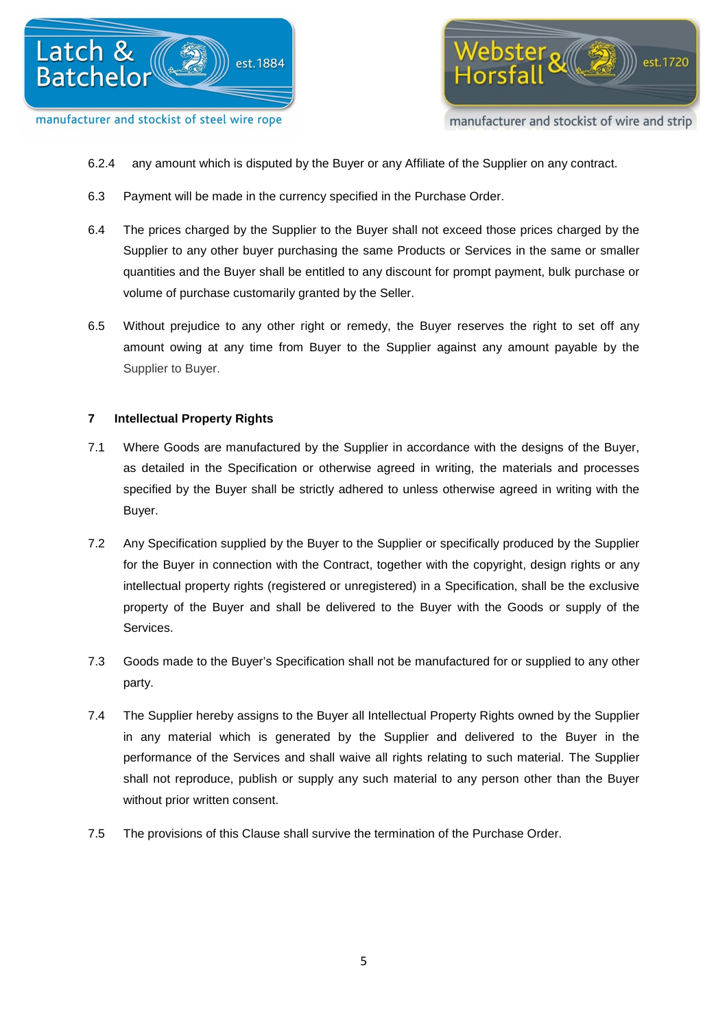





- 6.2.4 any amount which is disputed by the Buyer or any Affiliate of the Supplier on any contract.
- 6.3 Payment will be made in the currency specified in the Purchase Order.
- 6.4 The prices charged by the Supplier to the Buyer shall not exceed those prices charged by the Supplier to any other buyer purchasing the same Products or Services in the same or smaller quantities and the Buyer shall be entitled to any discount for prompt payment, bulk purchase or volume of purchase customarily granted by the Seller.
- 6.5 Without prejudice to any other right or remedy, the Buyer reserves the right to set off any amount owing at any time from Buyer to the Supplier against any amount payable by the Supplier to Buyer.

# **7 Intellectual Property Rights**

- 7.1 Where Goods are manufactured by the Supplier in accordance with the designs of the Buyer, as detailed in the Specification or otherwise agreed in writing, the materials and processes specified by the Buyer shall be strictly adhered to unless otherwise agreed in writing with the Buyer.
- 7.2 Any Specification supplied by the Buyer to the Supplier or specifically produced by the Supplier for the Buyer in connection with the Contract, together with the copyright, design rights or any intellectual property rights (registered or unregistered) in a Specification, shall be the exclusive property of the Buyer and shall be delivered to the Buyer with the Goods or supply of the Services.
- 7.3 Goods made to the Buyer's Specification shall not be manufactured for or supplied to any other party.
- 7.4 The Supplier hereby assigns to the Buyer all Intellectual Property Rights owned by the Supplier in any material which is generated by the Supplier and delivered to the Buyer in the performance of the Services and shall waive all rights relating to such material. The Supplier shall not reproduce, publish or supply any such material to any person other than the Buyer without prior written consent.
- 7.5 The provisions of this Clause shall survive the termination of the Purchase Order.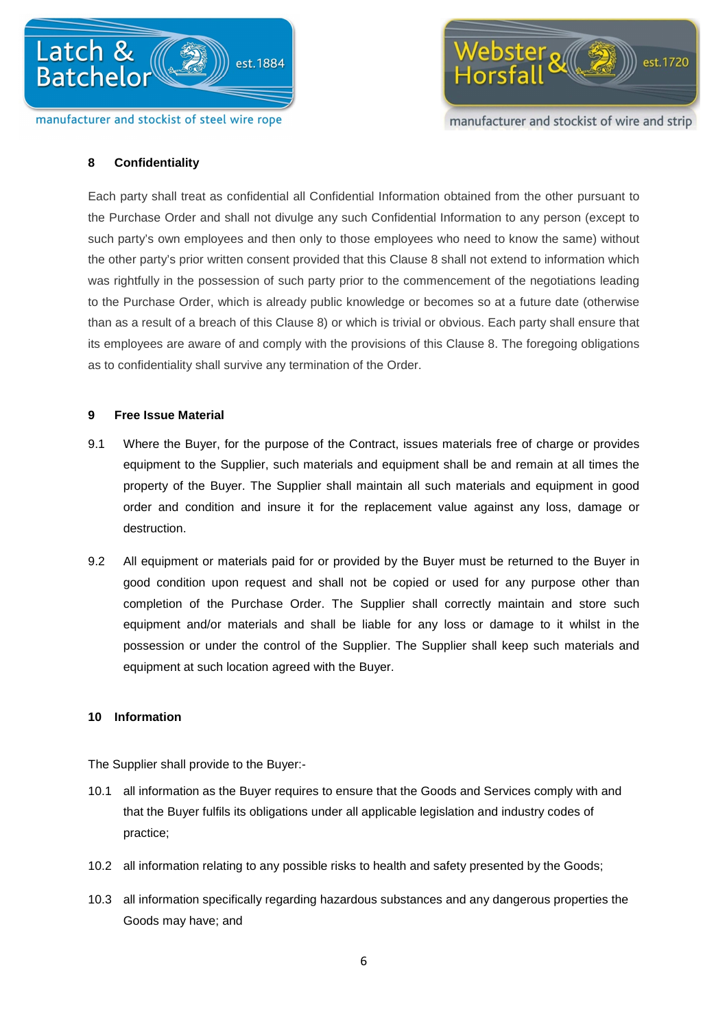

# manufacturer and stockist of wire and strip

est.1720

ebster *all(*今

#### **8 Confidentiality**

Each party shall treat as confidential all Confidential Information obtained from the other pursuant to the Purchase Order and shall not divulge any such Confidential Information to any person (except to such party's own employees and then only to those employees who need to know the same) without the other party's prior written consent provided that this Clause 8 shall not extend to information which was rightfully in the possession of such party prior to the commencement of the negotiations leading to the Purchase Order, which is already public knowledge or becomes so at a future date (otherwise than as a result of a breach of this Clause 8) or which is trivial or obvious. Each party shall ensure that its employees are aware of and comply with the provisions of this Clause 8. The foregoing obligations as to confidentiality shall survive any termination of the Order.

#### **9 Free Issue Material**

- 9.1 Where the Buyer, for the purpose of the Contract, issues materials free of charge or provides equipment to the Supplier, such materials and equipment shall be and remain at all times the property of the Buyer. The Supplier shall maintain all such materials and equipment in good order and condition and insure it for the replacement value against any loss, damage or destruction.
- 9.2 All equipment or materials paid for or provided by the Buyer must be returned to the Buyer in good condition upon request and shall not be copied or used for any purpose other than completion of the Purchase Order. The Supplier shall correctly maintain and store such equipment and/or materials and shall be liable for any loss or damage to it whilst in the possession or under the control of the Supplier. The Supplier shall keep such materials and equipment at such location agreed with the Buyer.

#### **10 Information**

The Supplier shall provide to the Buyer:-

- 10.1 all information as the Buyer requires to ensure that the Goods and Services comply with and that the Buyer fulfils its obligations under all applicable legislation and industry codes of practice;
- 10.2 all information relating to any possible risks to health and safety presented by the Goods;
- 10.3 all information specifically regarding hazardous substances and any dangerous properties the Goods may have; and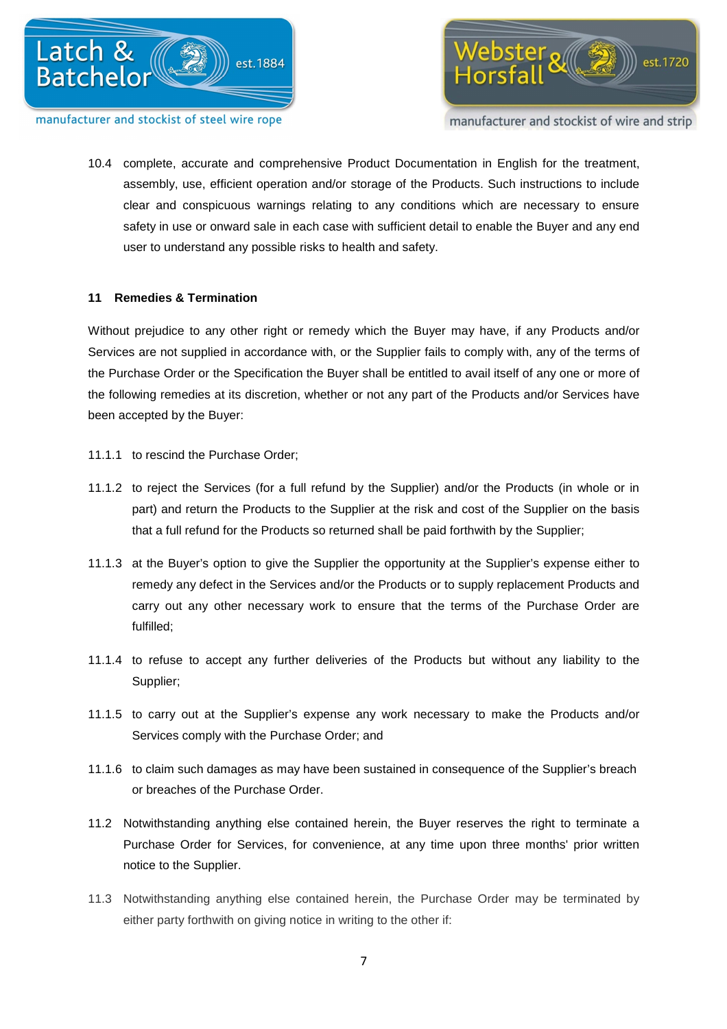

manufacturer and stockist of wire and strip

10.4 complete, accurate and comprehensive Product Documentation in English for the treatment, assembly, use, efficient operation and/or storage of the Products. Such instructions to include clear and conspicuous warnings relating to any conditions which are necessary to ensure safety in use or onward sale in each case with sufficient detail to enable the Buyer and any end user to understand any possible risks to health and safety.

# **11 Remedies & Termination**

Without prejudice to any other right or remedy which the Buyer may have, if any Products and/or Services are not supplied in accordance with, or the Supplier fails to comply with, any of the terms of the Purchase Order or the Specification the Buyer shall be entitled to avail itself of any one or more of the following remedies at its discretion, whether or not any part of the Products and/or Services have been accepted by the Buyer:

- 11.1.1 to rescind the Purchase Order;
- 11.1.2 to reject the Services (for a full refund by the Supplier) and/or the Products (in whole or in part) and return the Products to the Supplier at the risk and cost of the Supplier on the basis that a full refund for the Products so returned shall be paid forthwith by the Supplier;
- 11.1.3 at the Buyer's option to give the Supplier the opportunity at the Supplier's expense either to remedy any defect in the Services and/or the Products or to supply replacement Products and carry out any other necessary work to ensure that the terms of the Purchase Order are fulfilled;
- 11.1.4 to refuse to accept any further deliveries of the Products but without any liability to the Supplier;
- 11.1.5 to carry out at the Supplier's expense any work necessary to make the Products and/or Services comply with the Purchase Order; and
- 11.1.6 to claim such damages as may have been sustained in consequence of the Supplier's breach or breaches of the Purchase Order.
- 11.2 Notwithstanding anything else contained herein, the Buyer reserves the right to terminate a Purchase Order for Services, for convenience, at any time upon three months' prior written notice to the Supplier.
- 11.3 Notwithstanding anything else contained herein, the Purchase Order may be terminated by either party forthwith on giving notice in writing to the other if: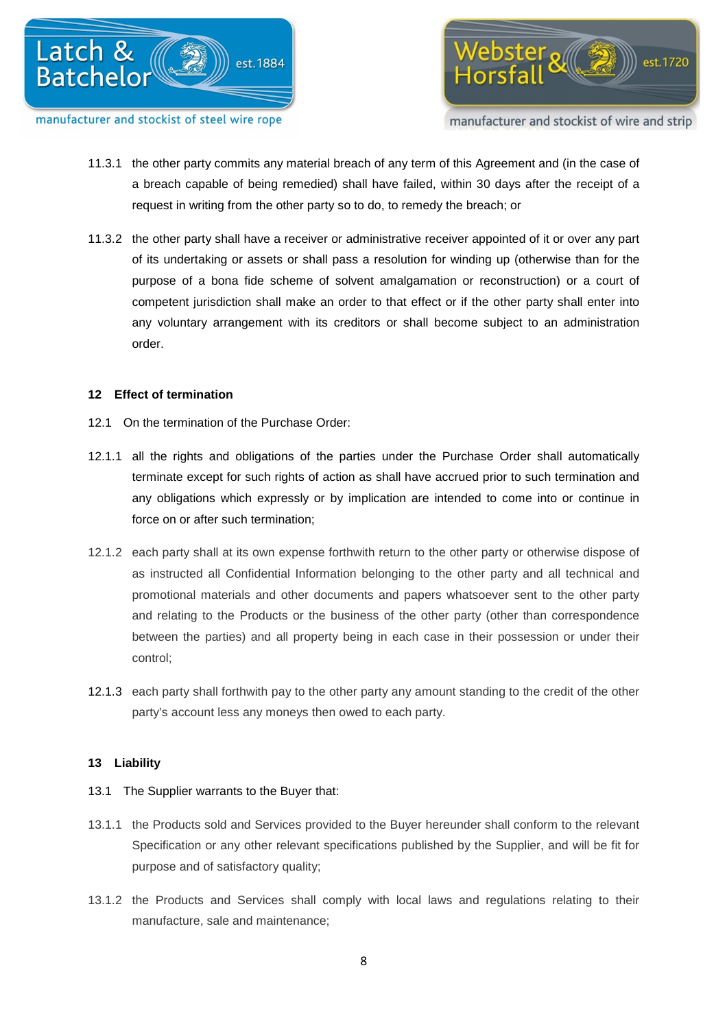

ebster *all* 参 est.1720

manufacturer and stockist of wire and strip

- 11.3.1 the other party commits any material breach of any term of this Agreement and (in the case of a breach capable of being remedied) shall have failed, within 30 days after the receipt of a request in writing from the other party so to do, to remedy the breach; or
- 11.3.2 the other party shall have a receiver or administrative receiver appointed of it or over any part of its undertaking or assets or shall pass a resolution for winding up (otherwise than for the purpose of a bona fide scheme of solvent amalgamation or reconstruction) or a court of competent jurisdiction shall make an order to that effect or if the other party shall enter into any voluntary arrangement with its creditors or shall become subject to an administration order.

# **12 Effect of termination**

- 12.1 On the termination of the Purchase Order:
- 12.1.1 all the rights and obligations of the parties under the Purchase Order shall automatically terminate except for such rights of action as shall have accrued prior to such termination and any obligations which expressly or by implication are intended to come into or continue in force on or after such termination;
- 12.1.2 each party shall at its own expense forthwith return to the other party or otherwise dispose of as instructed all Confidential Information belonging to the other party and all technical and promotional materials and other documents and papers whatsoever sent to the other party and relating to the Products or the business of the other party (other than correspondence between the parties) and all property being in each case in their possession or under their control;
- 12.1.3 each party shall forthwith pay to the other party any amount standing to the credit of the other party's account less any moneys then owed to each party.

# **13 Liability**

- 13.1 The Supplier warrants to the Buyer that:
- 13.1.1 the Products sold and Services provided to the Buyer hereunder shall conform to the relevant Specification or any other relevant specifications published by the Supplier, and will be fit for purpose and of satisfactory quality;
- 13.1.2 the Products and Services shall comply with local laws and regulations relating to their manufacture, sale and maintenance;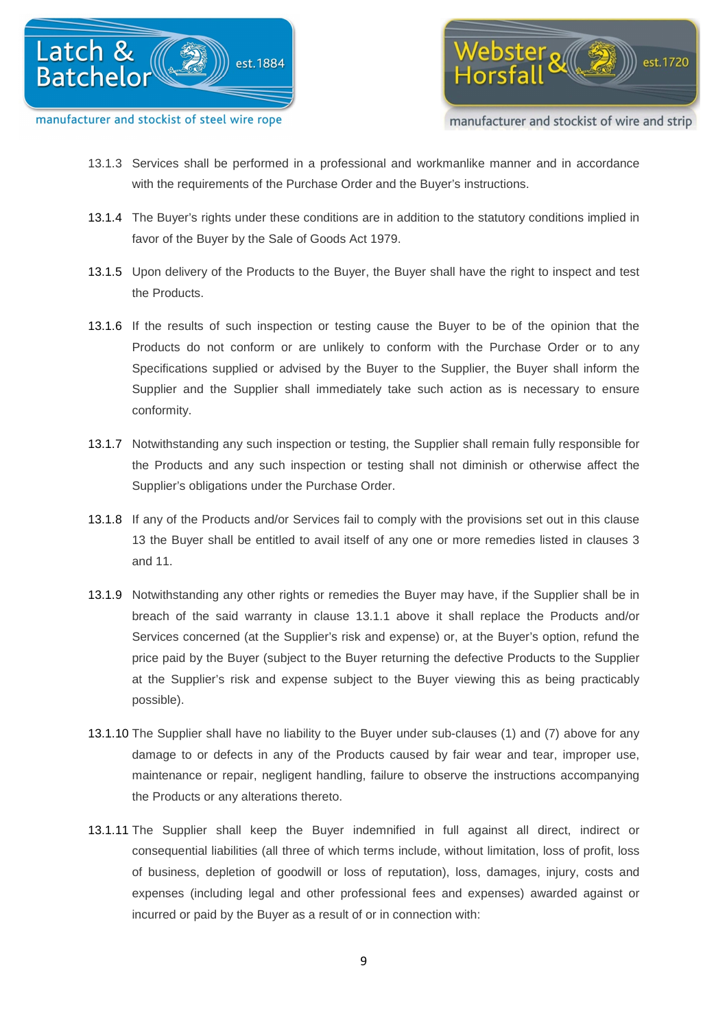

 $\epsilon$ bster $\sqrt{\mathbb{Z}}$ est.1720

manufacturer and stockist of wire and strip

- 13.1.3 Services shall be performed in a professional and workmanlike manner and in accordance with the requirements of the Purchase Order and the Buyer's instructions.
- 13.1.4 The Buyer's rights under these conditions are in addition to the statutory conditions implied in favor of the Buyer by the Sale of Goods Act 1979.
- 13.1.5 Upon delivery of the Products to the Buyer, the Buyer shall have the right to inspect and test the Products.
- 13.1.6 If the results of such inspection or testing cause the Buyer to be of the opinion that the Products do not conform or are unlikely to conform with the Purchase Order or to any Specifications supplied or advised by the Buyer to the Supplier, the Buyer shall inform the Supplier and the Supplier shall immediately take such action as is necessary to ensure conformity.
- 13.1.7 Notwithstanding any such inspection or testing, the Supplier shall remain fully responsible for the Products and any such inspection or testing shall not diminish or otherwise affect the Supplier's obligations under the Purchase Order.
- 13.1.8 If any of the Products and/or Services fail to comply with the provisions set out in this clause 13 the Buyer shall be entitled to avail itself of any one or more remedies listed in clauses 3 and 11.
- 13.1.9 Notwithstanding any other rights or remedies the Buyer may have, if the Supplier shall be in breach of the said warranty in clause 13.1.1 above it shall replace the Products and/or Services concerned (at the Supplier's risk and expense) or, at the Buyer's option, refund the price paid by the Buyer (subject to the Buyer returning the defective Products to the Supplier at the Supplier's risk and expense subject to the Buyer viewing this as being practicably possible).
- 13.1.10 The Supplier shall have no liability to the Buyer under sub-clauses (1) and (7) above for any damage to or defects in any of the Products caused by fair wear and tear, improper use, maintenance or repair, negligent handling, failure to observe the instructions accompanying the Products or any alterations thereto.
- 13.1.11 The Supplier shall keep the Buyer indemnified in full against all direct, indirect or consequential liabilities (all three of which terms include, without limitation, loss of profit, loss of business, depletion of goodwill or loss of reputation), loss, damages, injury, costs and expenses (including legal and other professional fees and expenses) awarded against or incurred or paid by the Buyer as a result of or in connection with: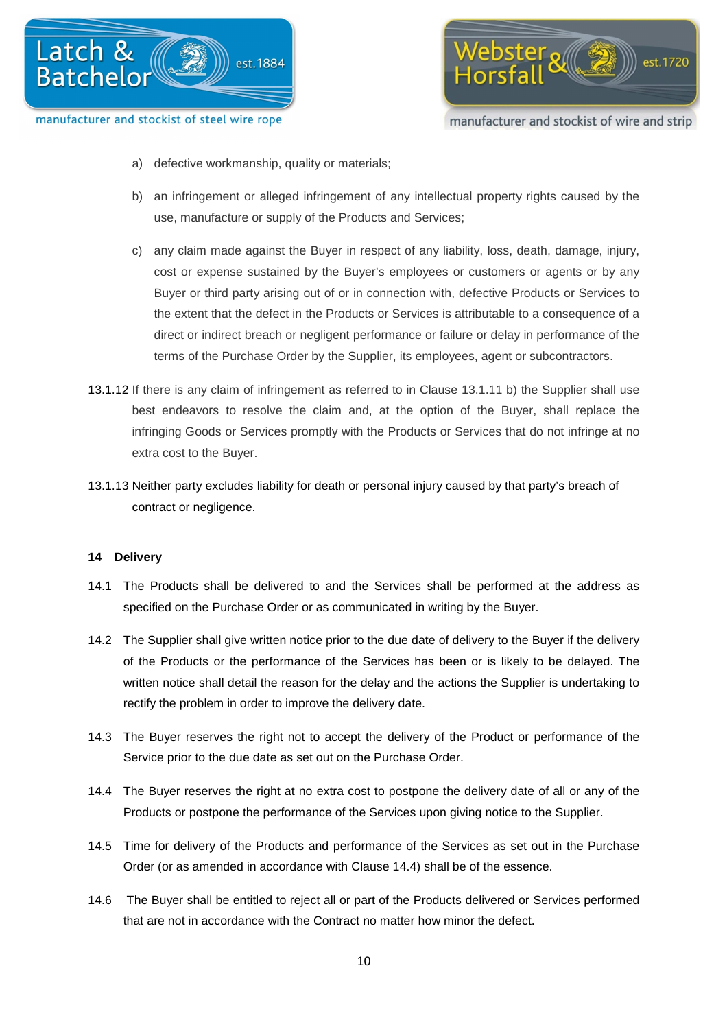



- a) defective workmanship, quality or materials;
- b) an infringement or alleged infringement of any intellectual property rights caused by the use, manufacture or supply of the Products and Services;
- c) any claim made against the Buyer in respect of any liability, loss, death, damage, injury, cost or expense sustained by the Buyer's employees or customers or agents or by any Buyer or third party arising out of or in connection with, defective Products or Services to the extent that the defect in the Products or Services is attributable to a consequence of a direct or indirect breach or negligent performance or failure or delay in performance of the terms of the Purchase Order by the Supplier, its employees, agent or subcontractors.
- 13.1.12 If there is any claim of infringement as referred to in Clause 13.1.11 b) the Supplier shall use best endeavors to resolve the claim and, at the option of the Buyer, shall replace the infringing Goods or Services promptly with the Products or Services that do not infringe at no extra cost to the Buyer.
- 13.1.13 Neither party excludes liability for death or personal injury caused by that party's breach of contract or negligence.

# **14 Delivery**

- 14.1 The Products shall be delivered to and the Services shall be performed at the address as specified on the Purchase Order or as communicated in writing by the Buyer.
- 14.2 The Supplier shall give written notice prior to the due date of delivery to the Buyer if the delivery of the Products or the performance of the Services has been or is likely to be delayed. The written notice shall detail the reason for the delay and the actions the Supplier is undertaking to rectify the problem in order to improve the delivery date.
- 14.3 The Buyer reserves the right not to accept the delivery of the Product or performance of the Service prior to the due date as set out on the Purchase Order.
- 14.4 The Buyer reserves the right at no extra cost to postpone the delivery date of all or any of the Products or postpone the performance of the Services upon giving notice to the Supplier.
- 14.5 Time for delivery of the Products and performance of the Services as set out in the Purchase Order (or as amended in accordance with Clause 14.4) shall be of the essence.
- 14.6 The Buyer shall be entitled to reject all or part of the Products delivered or Services performed that are not in accordance with the Contract no matter how minor the defect.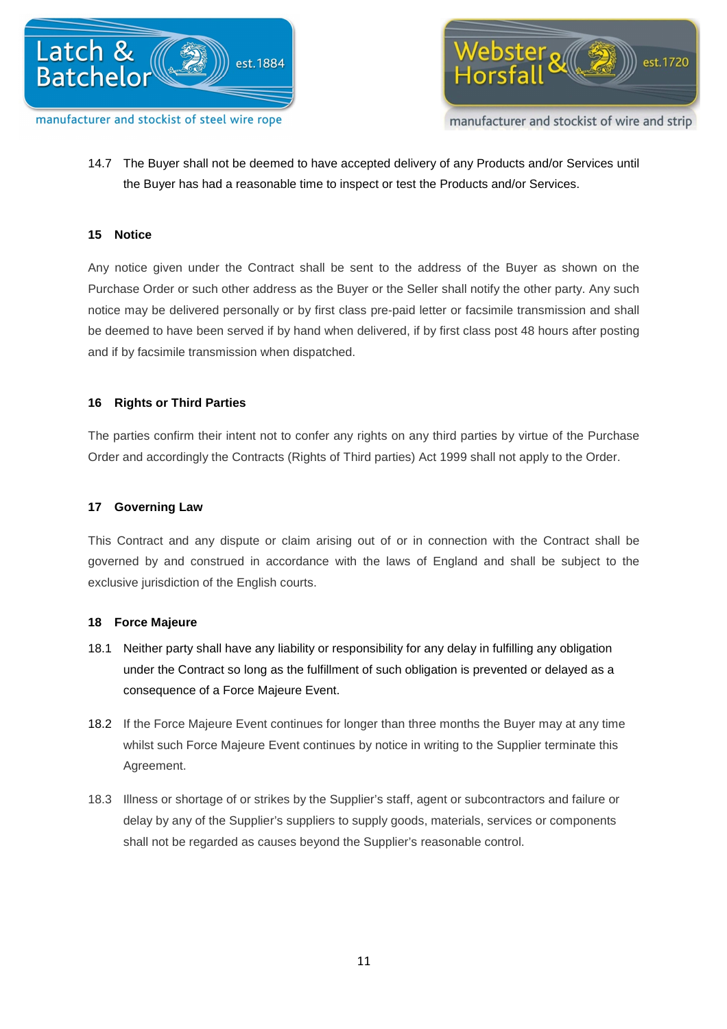



14.7 The Buyer shall not be deemed to have accepted delivery of any Products and/or Services until the Buyer has had a reasonable time to inspect or test the Products and/or Services.

# **15 Notice**

Any notice given under the Contract shall be sent to the address of the Buyer as shown on the Purchase Order or such other address as the Buyer or the Seller shall notify the other party. Any such notice may be delivered personally or by first class pre-paid letter or facsimile transmission and shall be deemed to have been served if by hand when delivered, if by first class post 48 hours after posting and if by facsimile transmission when dispatched.

# **16 Rights or Third Parties**

The parties confirm their intent not to confer any rights on any third parties by virtue of the Purchase Order and accordingly the Contracts (Rights of Third parties) Act 1999 shall not apply to the Order.

# **17 Governing Law**

This Contract and any dispute or claim arising out of or in connection with the Contract shall be governed by and construed in accordance with the laws of England and shall be subject to the exclusive jurisdiction of the English courts.

# **18 Force Majeure**

- 18.1 Neither party shall have any liability or responsibility for any delay in fulfilling any obligation under the Contract so long as the fulfillment of such obligation is prevented or delayed as a consequence of a Force Majeure Event.
- 18.2 If the Force Majeure Event continues for longer than three months the Buyer may at any time whilst such Force Majeure Event continues by notice in writing to the Supplier terminate this Agreement.
- 18.3 Illness or shortage of or strikes by the Supplier's staff, agent or subcontractors and failure or delay by any of the Supplier's suppliers to supply goods, materials, services or components shall not be regarded as causes beyond the Supplier's reasonable control.